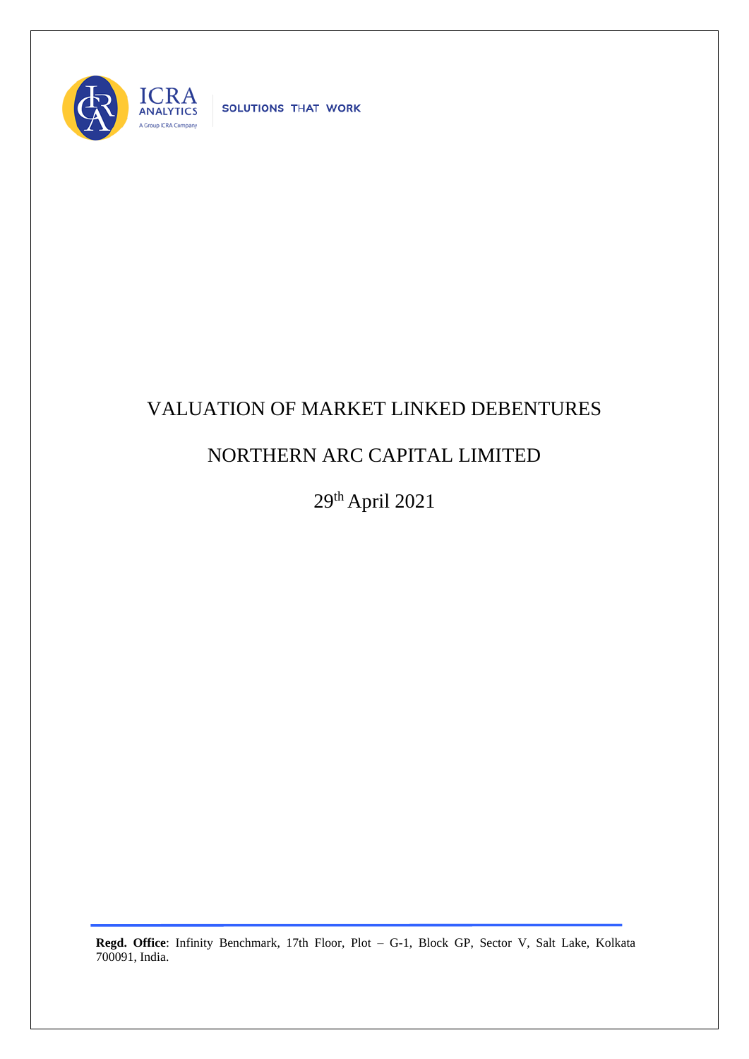

SOLUTIONS THAT WORK

## VALUATION OF MARKET LINKED DEBENTURES

## NORTHERN ARC CAPITAL LIMITED

29th April 2021

**Regd. Office**: Infinity Benchmark, 17th Floor, Plot – G-1, Block GP, Sector V, Salt Lake, Kolkata 700091, India.